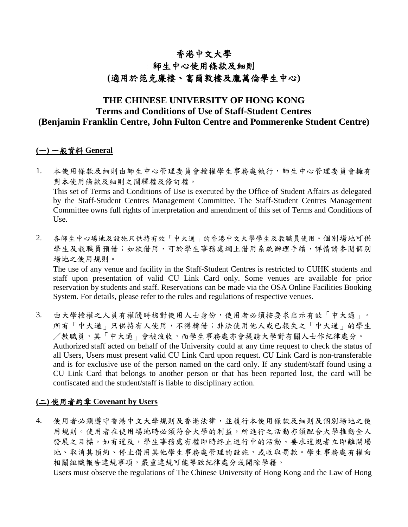# 香港中文大學

# 師生中心使用條款及細則 **(**適用於范克廉樓、富爾敦樓及龐萬倫學生中心**)**

# **THE CHINESE UNIVERSITY OF HONG KONG Terms and Conditions of Use of Staff-Student Centres (Benjamin Franklin Centre, John Fulton Centre and Pommerenke Student Centre)**

## **(**一**)** 一般資料 **General**

- 1. 本使用條款及細則由師生中心管理委員會授權學生事務處執行,師生中心管理委員會擁有 對本使用條款及細則之闡釋權及修訂權。 This set of Terms and Conditions of Use is executed by the Office of Student Affairs as delegated by the Staff-Student Centres Management Committee. The Staff-Student Centres Management Committee owns full rights of interpretation and amendment of this set of Terms and Conditions of Use.
- 2. 各師生中心場地及設施只供持有效「中大通」的香港中文大學學生及教職員使用。個別場地可供 學生及教職員預借;如欲借用,可於學生事務處網上借用系統辦理手續,詳情請參閱個別 場地之使用規則。 The use of any venue and facility in the Staff-Student Centres is restricted to CUHK students and

staff upon presentation of valid CU Link Card only. Some venues are available for prior reservation by students and staff. Reservations can be made via the OSA Online Facilities Booking System. For details, please refer to the rules and regulations of respective venues.

3. 由大學授權之人員有權隨時核對使用人士身份,使用者必須按要求出示有效「中大通」。 所有「中大通」只供持有人使用,不得轉借;非法使用他人或已報失之「中大通」的學生 /教職員,其「中大通」會被沒收,而學生事務處亦會提請大學對有關人士作紀律處分。 Authorized staff acted on behalf of the University could at any time request to check the status of all Users, Users must present valid CU Link Card upon request. CU Link Card is non-transferable and is for exclusive use of the person named on the card only. If any student/staff found using a CU Link Card that belongs to another person or that has been reported lost, the card will be confiscated and the student/staff is liable to disciplinary action.

#### **(**二**)** 使用者約章 **Covenant by Users**

4. 使用者必須遵守香港中文大學規則及香港法律,並履行本使用條款及細則及個別場地之使 用規則。使用者在使用場地時必須符合大學的利益,所進行之活動亦須配合大學推動全人 發展之目標。如有違反,學生事務處有權即時終止進行中的活動、要求違規者立即離開場 地、取消其預約、停止借用其他學生事務處管理的設施,或收取罰款。學生事務處有權向 相關組織報告違規事項,嚴重違規可能導致紀律處分或開除學籍。

Users must observe the regulations of The Chinese University of Hong Kong and the Law of Hong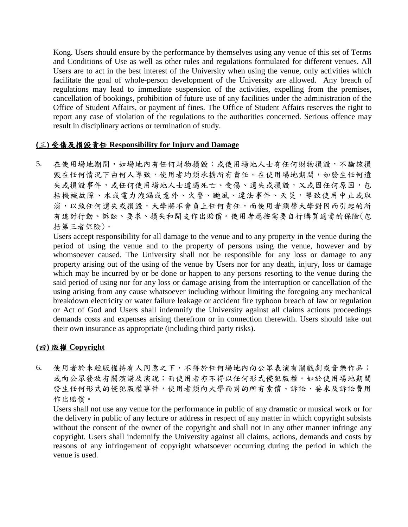Kong. Users should ensure by the performance by themselves using any venue of this set of Terms and Conditions of Use as well as other rules and regulations formulated for different venues. All Users are to act in the best interest of the University when using the venue, only activities which facilitate the goal of whole-person development of the University are allowed. Any breach of regulations may lead to immediate suspension of the activities, expelling from the premises, cancellation of bookings, prohibition of future use of any facilities under the administration of the Office of Student Affairs, or payment of fines. The Office of Student Affairs reserves the right to report any case of violation of the regulations to the authorities concerned. Serious offence may result in disciplinary actions or termination of study.

## **(**三**)** 受傷及損毀責任 **Responsibility for Injury and Damage**

5. 在使用場地期間,如場地內有任何財物損毀;或使用場地人士有任何財物損毀,不論該損 毀在任何情況下由何人導致,使用者均須承擔所有責任。在使用場地期間,如發生任何遺 失或損毀事件,或任何使用場地人士遭遇死亡、受傷、遺失或損毀,又或因任何原因,包 括機械故障、水或電力洩漏或意外、火警、颱風、違法事件、天災,導致使用中止或取 消,以致任何遺失或損毀,大學將不會負上任何責任,而使用者須替大學對因而引起的所 有追討行動、訴訟、要求、損失和開支作出賠償。使用者應按需要自行購買適當的保險(包 括第三者保險)。

Users accept responsibility for all damage to the venue and to any property in the venue during the period of using the venue and to the property of persons using the venue, however and by whomsoever caused. The University shall not be responsible for any loss or damage to any property arising out of the using of the venue by Users nor for any death, injury, loss or damage which may be incurred by or be done or happen to any persons resorting to the venue during the said period of using nor for any loss or damage arising from the interruption or cancellation of the using arising from any cause whatsoever including without limiting the foregoing any mechanical breakdown electricity or water failure leakage or accident fire typhoon breach of law or regulation or Act of God and Users shall indemnify the University against all claims actions proceedings demands costs and expenses arising therefrom or in connection therewith. Users should take out their own insurance as appropriate (including third party risks).

#### **(**四**)** 版權 **Copyright**

6. 使用者於未經版權持有人同意之下,不得於任何場地內向公眾表演有關戲劇或音樂作品; 或向公眾發放有關演講及演說;而使用者亦不得以任何形式侵犯版權。如於使用場地期間 發生任何形式的侵犯版權事件,使用者須向大學面對的所有索償、訴訟、要求及訴訟費用 作出賠償。

Users shall not use any venue for the performance in public of any dramatic or musical work or for the delivery in public of any lecture or address in respect of any matter in which copyright subsists without the consent of the owner of the copyright and shall not in any other manner infringe any copyright. Users shall indemnify the University against all claims, actions, demands and costs by reasons of any infringement of copyright whatsoever occurring during the period in which the venue is used.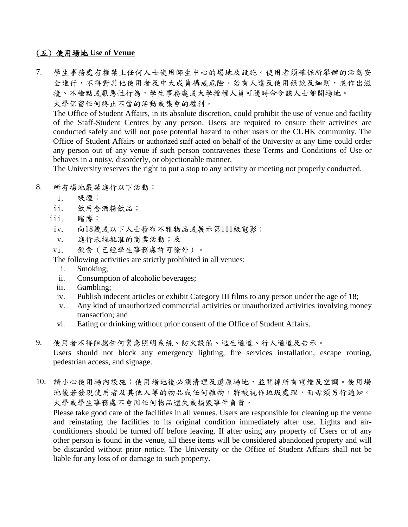## (五) 使用場地 **Use of Venue**

7. 學生事務處有權禁止任何人士使用師生中心的場地及設施。使用者須確保所舉辦的活動安 全進行,不得對其他使用者及中大成員構成危險。若有人違反使用條款及細則,或作出滋 擾、不檢點或厭惡性行為,學生事務處或大學授權人員可隨時命令該人士離開場地。 大學保留任何終止不當的活動或集會的權利。

The Office of Student Affairs, in its absolute discretion, could prohibit the use of venue and facility of the Staff-Student Centres by any person. Users are required to ensure their activities are conducted safely and will not pose potential hazard to other users or the CUHK community. The Office of Student Affairs or authorized staff acted on behalf of the University at any time could order any person out of any venue if such person contravenes these Terms and Conditions of Use or behaves in a noisy, disorderly, or objectionable manner.

The University reserves the right to put a stop to any activity or meeting not properly conducted.

- 8. 所有場地嚴禁進行以下活動:
	- i. 吸煙;
	- ii. 飲用含酒精飲品;
	- iii. 賭博;
	- iv. 向18歲或以下人士發布不雅物品或展示第III級電影;
	- v. 進行未經批准的商業活動;及
	- vi. 飲食(已經學生事務處許可除外)。

The following activities are strictly prohibited in all venues:

- i. Smoking;
- ii. Consumption of alcoholic beverages;
- iii. Gambling;
- iv. Publish indecent articles or exhibit Category III films to any person under the age of 18;
- v. Any kind of unauthorized commercial activities or unauthorized activities involving money transaction; and
- vi. Eating or drinking without prior consent of the Office of Student Affairs.
- 9. 使用者不得阻擋任何緊急照明系統、防火設備、逃生通道、行人通道及告示。 Users should not block any emergency lighting, fire services installation, escape routing, pedestrian access, and signage.
- 10. 請小心使用場內設施;使用場地後必須清理及還原場地,並關掉所有電燈及空調。使用場 地後若發現使用者及其他人等的物品或任何雜物,將被視作垃圾處理,而毋須另行通知。 大學或學生事務處不會因任何物品遺失或損毀事件負責。

Please take good care of the facilities in all venues. Users are responsible for cleaning up the venue and reinstating the facilities to its original condition immediately after use. Lights and airconditioners should be turned off before leaving. If after using any property of Users or of any other person is found in the venue, all these items will be considered abandoned property and will be discarded without prior notice. The University or the Office of Student Affairs shall not be liable for any loss of or damage to such property.